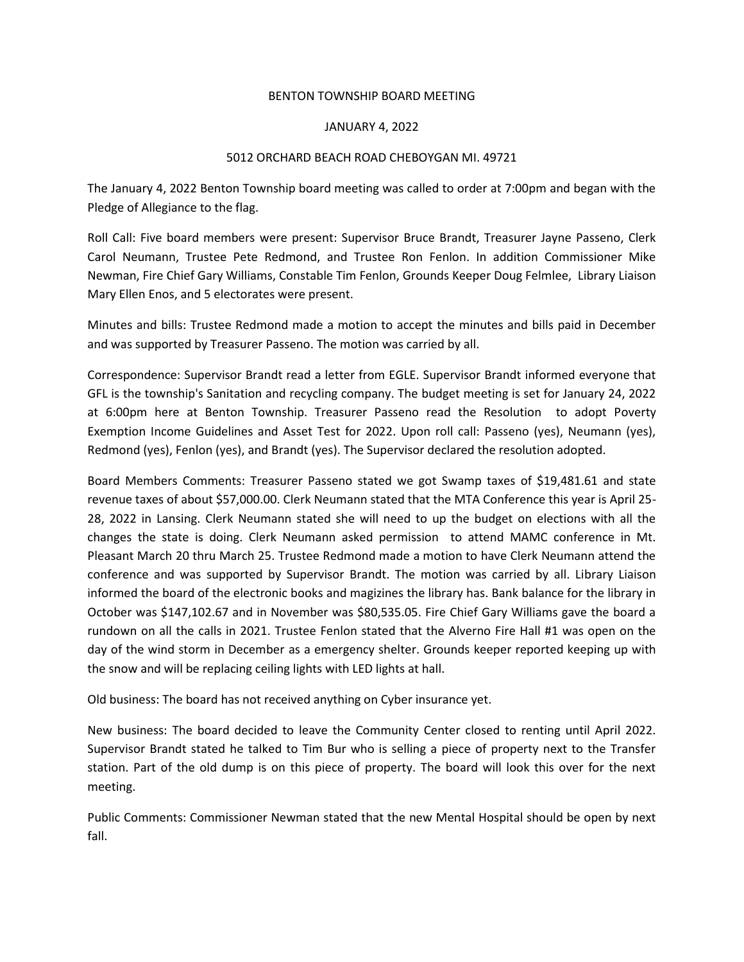## BENTON TOWNSHIP BOARD MEETING

## JANUARY 4, 2022

## 5012 ORCHARD BEACH ROAD CHEBOYGAN MI. 49721

The January 4, 2022 Benton Township board meeting was called to order at 7:00pm and began with the Pledge of Allegiance to the flag.

Roll Call: Five board members were present: Supervisor Bruce Brandt, Treasurer Jayne Passeno, Clerk Carol Neumann, Trustee Pete Redmond, and Trustee Ron Fenlon. In addition Commissioner Mike Newman, Fire Chief Gary Williams, Constable Tim Fenlon, Grounds Keeper Doug Felmlee, Library Liaison Mary Ellen Enos, and 5 electorates were present.

Minutes and bills: Trustee Redmond made a motion to accept the minutes and bills paid in December and was supported by Treasurer Passeno. The motion was carried by all.

Correspondence: Supervisor Brandt read a letter from EGLE. Supervisor Brandt informed everyone that GFL is the township's Sanitation and recycling company. The budget meeting is set for January 24, 2022 at 6:00pm here at Benton Township. Treasurer Passeno read the Resolution to adopt Poverty Exemption Income Guidelines and Asset Test for 2022. Upon roll call: Passeno (yes), Neumann (yes), Redmond (yes), Fenlon (yes), and Brandt (yes). The Supervisor declared the resolution adopted.

Board Members Comments: Treasurer Passeno stated we got Swamp taxes of \$19,481.61 and state revenue taxes of about \$57,000.00. Clerk Neumann stated that the MTA Conference this year is April 25- 28, 2022 in Lansing. Clerk Neumann stated she will need to up the budget on elections with all the changes the state is doing. Clerk Neumann asked permission to attend MAMC conference in Mt. Pleasant March 20 thru March 25. Trustee Redmond made a motion to have Clerk Neumann attend the conference and was supported by Supervisor Brandt. The motion was carried by all. Library Liaison informed the board of the electronic books and magizines the library has. Bank balance for the library in October was \$147,102.67 and in November was \$80,535.05. Fire Chief Gary Williams gave the board a rundown on all the calls in 2021. Trustee Fenlon stated that the Alverno Fire Hall #1 was open on the day of the wind storm in December as a emergency shelter. Grounds keeper reported keeping up with the snow and will be replacing ceiling lights with LED lights at hall.

Old business: The board has not received anything on Cyber insurance yet.

New business: The board decided to leave the Community Center closed to renting until April 2022. Supervisor Brandt stated he talked to Tim Bur who is selling a piece of property next to the Transfer station. Part of the old dump is on this piece of property. The board will look this over for the next meeting.

Public Comments: Commissioner Newman stated that the new Mental Hospital should be open by next fall.